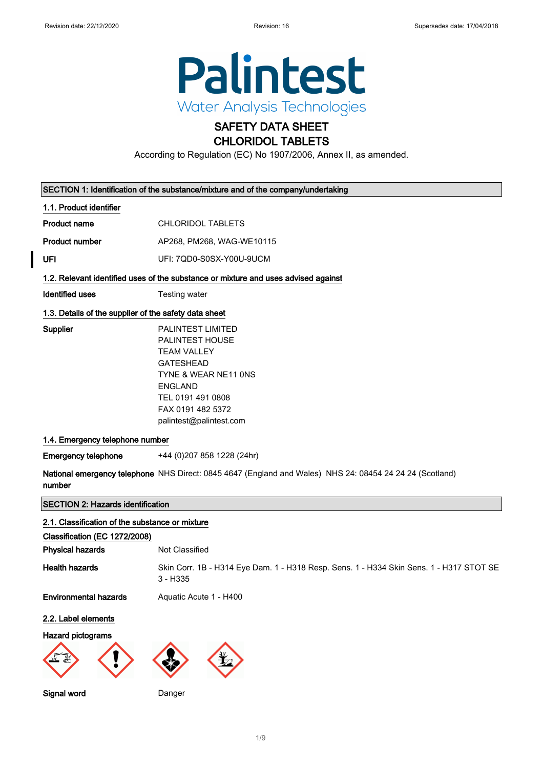

### SAFETY DATA SHEET CHLORIDOL TABLETS

According to Regulation (EC) No 1907/2006, Annex II, as amended.

| SECTION 1: Identification of the substance/mixture and of the company/undertaking |                                                                                                                                                                                                      |  |
|-----------------------------------------------------------------------------------|------------------------------------------------------------------------------------------------------------------------------------------------------------------------------------------------------|--|
| 1.1. Product identifier                                                           |                                                                                                                                                                                                      |  |
| <b>Product name</b>                                                               | <b>CHLORIDOL TABLETS</b>                                                                                                                                                                             |  |
| <b>Product number</b>                                                             | AP268, PM268, WAG-WE10115                                                                                                                                                                            |  |
| UFI                                                                               | UFI: 7QD0-S0SX-Y00U-9UCM                                                                                                                                                                             |  |
|                                                                                   | 1.2. Relevant identified uses of the substance or mixture and uses advised against                                                                                                                   |  |
| <b>Identified uses</b>                                                            | Testing water                                                                                                                                                                                        |  |
| 1.3. Details of the supplier of the safety data sheet                             |                                                                                                                                                                                                      |  |
| Supplier                                                                          | <b>PALINTEST LIMITED</b><br>PALINTEST HOUSE<br><b>TEAM VALLEY</b><br><b>GATESHEAD</b><br>TYNE & WEAR NE11 ONS<br><b>ENGLAND</b><br>TEL 0191 491 0808<br>FAX 0191 482 5372<br>palintest@palintest.com |  |
| 1.4. Emergency telephone number                                                   |                                                                                                                                                                                                      |  |
| <b>Emergency telephone</b>                                                        | +44 (0) 207 858 1228 (24hr)                                                                                                                                                                          |  |
| number                                                                            | National emergency telephone NHS Direct: 0845 4647 (England and Wales) NHS 24: 08454 24 24 24 (Scotland)                                                                                             |  |
| <b>SECTION 2: Hazards identification</b>                                          |                                                                                                                                                                                                      |  |
| 2.1. Classification of the substance or mixture<br>Classification (EC 1272/2008)  |                                                                                                                                                                                                      |  |

| <b>Physical hazards</b>      | Not Classified                                                                                        |
|------------------------------|-------------------------------------------------------------------------------------------------------|
| <b>Health hazards</b>        | Skin Corr. 1B - H314 Eye Dam. 1 - H318 Resp. Sens. 1 - H334 Skin Sens. 1 - H317 STOT SE<br>$3 - H335$ |
| <b>Environmental hazards</b> | Aquatic Acute 1 - H400                                                                                |
| 2.2. Label elements          |                                                                                                       |
| Hazard pictograms            |                                                                                                       |

Signal word Danger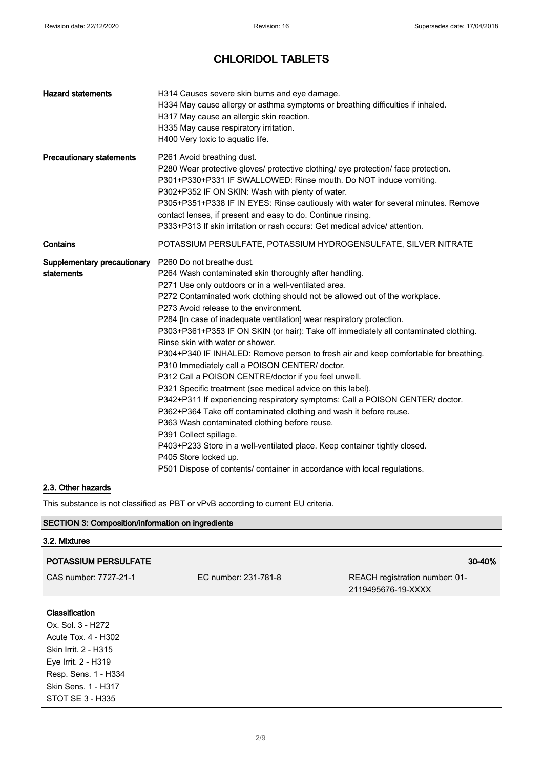| H314 Causes severe skin burns and eye damage.<br>H334 May cause allergy or asthma symptoms or breathing difficulties if inhaled.<br>H317 May cause an allergic skin reaction.<br>H335 May cause respiratory irritation.<br>H400 Very toxic to aquatic life.                                                                                                                                                                                                                                                                                                                                                                                                                                                                                                                                                                                                                                                                                                                                                                                                                                                                                                                                  |
|----------------------------------------------------------------------------------------------------------------------------------------------------------------------------------------------------------------------------------------------------------------------------------------------------------------------------------------------------------------------------------------------------------------------------------------------------------------------------------------------------------------------------------------------------------------------------------------------------------------------------------------------------------------------------------------------------------------------------------------------------------------------------------------------------------------------------------------------------------------------------------------------------------------------------------------------------------------------------------------------------------------------------------------------------------------------------------------------------------------------------------------------------------------------------------------------|
| P261 Avoid breathing dust.<br>P280 Wear protective gloves/ protective clothing/ eye protection/ face protection.<br>P301+P330+P331 IF SWALLOWED: Rinse mouth. Do NOT induce vomiting.<br>P302+P352 IF ON SKIN: Wash with plenty of water.<br>P305+P351+P338 IF IN EYES: Rinse cautiously with water for several minutes. Remove<br>contact lenses, if present and easy to do. Continue rinsing.<br>P333+P313 If skin irritation or rash occurs: Get medical advice/ attention.                                                                                                                                                                                                                                                                                                                                                                                                                                                                                                                                                                                                                                                                                                               |
| POTASSIUM PERSULFATE, POTASSIUM HYDROGENSULFATE, SILVER NITRATE                                                                                                                                                                                                                                                                                                                                                                                                                                                                                                                                                                                                                                                                                                                                                                                                                                                                                                                                                                                                                                                                                                                              |
| Supplementary precautionary P260 Do not breathe dust.<br>P264 Wash contaminated skin thoroughly after handling.<br>P271 Use only outdoors or in a well-ventilated area.<br>P272 Contaminated work clothing should not be allowed out of the workplace.<br>P273 Avoid release to the environment.<br>P284 [In case of inadequate ventilation] wear respiratory protection.<br>P303+P361+P353 IF ON SKIN (or hair): Take off immediately all contaminated clothing.<br>Rinse skin with water or shower.<br>P304+P340 IF INHALED: Remove person to fresh air and keep comfortable for breathing.<br>P310 Immediately call a POISON CENTER/ doctor.<br>P312 Call a POISON CENTRE/doctor if you feel unwell.<br>P321 Specific treatment (see medical advice on this label).<br>P342+P311 If experiencing respiratory symptoms: Call a POISON CENTER/ doctor.<br>P362+P364 Take off contaminated clothing and wash it before reuse.<br>P363 Wash contaminated clothing before reuse.<br>P391 Collect spillage.<br>P403+P233 Store in a well-ventilated place. Keep container tightly closed.<br>P405 Store locked up.<br>P501 Dispose of contents/ container in accordance with local regulations. |
|                                                                                                                                                                                                                                                                                                                                                                                                                                                                                                                                                                                                                                                                                                                                                                                                                                                                                                                                                                                                                                                                                                                                                                                              |

### 2.3. Other hazards

This substance is not classified as PBT or vPvB according to current EU criteria.

| <b>SECTION 3: Composition/information on ingredients</b>                                                                                                                     |                      |                                                      |
|------------------------------------------------------------------------------------------------------------------------------------------------------------------------------|----------------------|------------------------------------------------------|
| 3.2. Mixtures                                                                                                                                                                |                      |                                                      |
| <b>POTASSIUM PERSULFATE</b>                                                                                                                                                  |                      | 30-40%                                               |
| CAS number: 7727-21-1                                                                                                                                                        | EC number: 231-781-8 | REACH registration number: 01-<br>2119495676-19-XXXX |
| Classification<br>Ox. Sol. 3 - H272<br>Acute Tox. 4 - H302<br>Skin Irrit. 2 - H315<br>Eye Irrit. 2 - H319<br>Resp. Sens. 1 - H334<br>Skin Sens. 1 - H317<br>STOT SE 3 - H335 |                      |                                                      |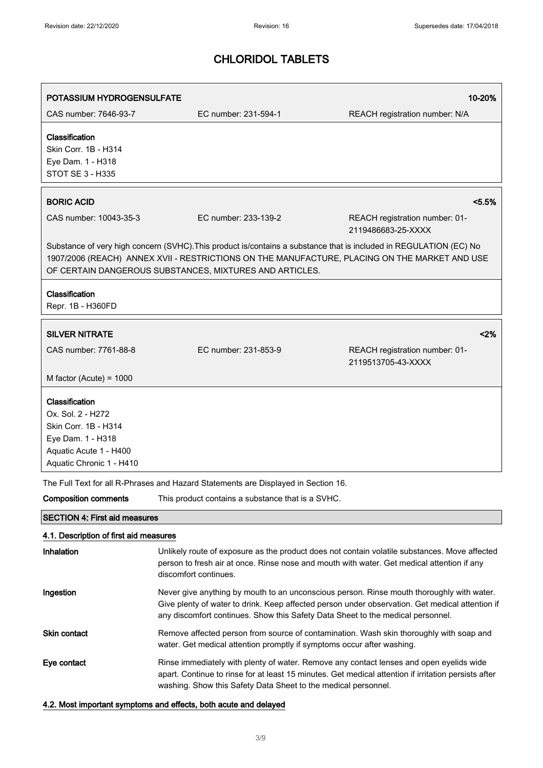| POTASSIUM HYDROGENSULFATE                                                                                                              |                                                                                    | 10-20%                                                                                                                                                                                                              |
|----------------------------------------------------------------------------------------------------------------------------------------|------------------------------------------------------------------------------------|---------------------------------------------------------------------------------------------------------------------------------------------------------------------------------------------------------------------|
| CAS number: 7646-93-7                                                                                                                  | EC number: 231-594-1                                                               | REACH registration number: N/A                                                                                                                                                                                      |
| Classification<br>Skin Corr. 1B - H314<br>Eye Dam. 1 - H318<br>STOT SE 3 - H335                                                        |                                                                                    |                                                                                                                                                                                                                     |
| <b>BORIC ACID</b>                                                                                                                      |                                                                                    | < 5.5%                                                                                                                                                                                                              |
| CAS number: 10043-35-3                                                                                                                 | EC number: 233-139-2                                                               | REACH registration number: 01-<br>2119486683-25-XXXX                                                                                                                                                                |
|                                                                                                                                        | OF CERTAIN DANGEROUS SUBSTANCES, MIXTURES AND ARTICLES.                            | Substance of very high concern (SVHC). This product is/contains a substance that is included in REGULATION (EC) No<br>1907/2006 (REACH) ANNEX XVII - RESTRICTIONS ON THE MANUFACTURE, PLACING ON THE MARKET AND USE |
| Classification<br>Repr. 1B - H360FD                                                                                                    |                                                                                    |                                                                                                                                                                                                                     |
| <b>SILVER NITRATE</b>                                                                                                                  |                                                                                    | 2%                                                                                                                                                                                                                  |
| CAS number: 7761-88-8                                                                                                                  | EC number: 231-853-9                                                               | REACH registration number: 01-<br>2119513705-43-XXXX                                                                                                                                                                |
| M factor (Acute) = $1000$                                                                                                              |                                                                                    |                                                                                                                                                                                                                     |
| Classification<br>Ox. Sol. 2 - H272<br>Skin Corr. 1B - H314<br>Eye Dam. 1 - H318<br>Aquatic Acute 1 - H400<br>Aquatic Chronic 1 - H410 |                                                                                    |                                                                                                                                                                                                                     |
|                                                                                                                                        | The Full Text for all R-Phrases and Hazard Statements are Displayed in Section 16. |                                                                                                                                                                                                                     |
| <b>Composition comments</b>                                                                                                            | This product contains a substance that is a SVHC.                                  |                                                                                                                                                                                                                     |
| <b>SECTION 4: First aid measures</b>                                                                                                   |                                                                                    |                                                                                                                                                                                                                     |
| 4.1. Description of first aid measures                                                                                                 |                                                                                    |                                                                                                                                                                                                                     |
| <b>Inhalation</b>                                                                                                                      | discomfort continues.                                                              | Unlikely route of exposure as the product does not contain volatile substances. Move affected<br>person to fresh air at once. Rinse nose and mouth with water. Get medical attention if any                         |
| Ingestion                                                                                                                              | any discomfort continues. Show this Safety Data Sheet to the medical personnel.    | Never give anything by mouth to an unconscious person. Rinse mouth thoroughly with water.<br>Give plenty of water to drink. Keep affected person under observation. Get medical attention if                        |
| <b>Skin contact</b>                                                                                                                    | water. Get medical attention promptly if symptoms occur after washing.             | Remove affected person from source of contamination. Wash skin thoroughly with soap and                                                                                                                             |
| Eye contact                                                                                                                            | washing. Show this Safety Data Sheet to the medical personnel.                     | Rinse immediately with plenty of water. Remove any contact lenses and open eyelids wide<br>apart. Continue to rinse for at least 15 minutes. Get medical attention if irritation persists after                     |

### 4.2. Most important symptoms and effects, both acute and delayed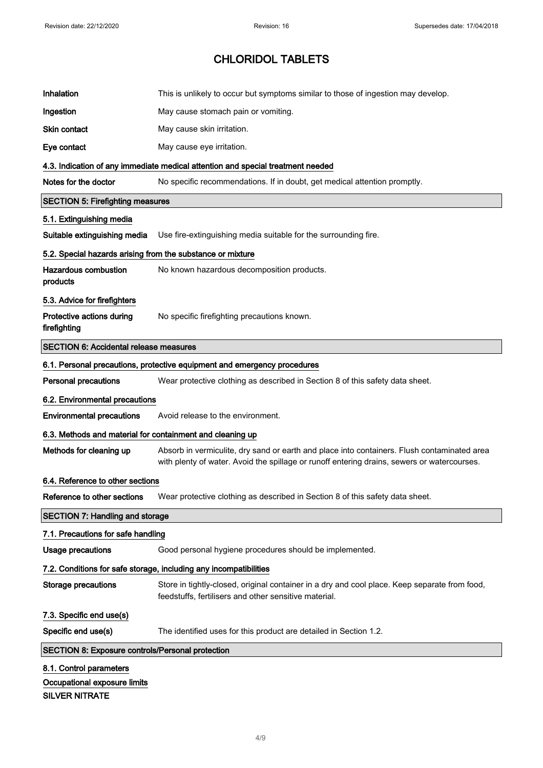| Inhalation                                                 | This is unlikely to occur but symptoms similar to those of ingestion may develop.                                                                                                          |  |
|------------------------------------------------------------|--------------------------------------------------------------------------------------------------------------------------------------------------------------------------------------------|--|
| Ingestion                                                  | May cause stomach pain or vomiting.                                                                                                                                                        |  |
| <b>Skin contact</b>                                        | May cause skin irritation.                                                                                                                                                                 |  |
| Eye contact                                                | May cause eye irritation.                                                                                                                                                                  |  |
|                                                            | 4.3. Indication of any immediate medical attention and special treatment needed                                                                                                            |  |
| Notes for the doctor                                       | No specific recommendations. If in doubt, get medical attention promptly.                                                                                                                  |  |
| <b>SECTION 5: Firefighting measures</b>                    |                                                                                                                                                                                            |  |
| 5.1. Extinguishing media                                   |                                                                                                                                                                                            |  |
| Suitable extinguishing media                               | Use fire-extinguishing media suitable for the surrounding fire.                                                                                                                            |  |
| 5.2. Special hazards arising from the substance or mixture |                                                                                                                                                                                            |  |
| <b>Hazardous combustion</b><br>products                    | No known hazardous decomposition products.                                                                                                                                                 |  |
| 5.3. Advice for firefighters                               |                                                                                                                                                                                            |  |
| Protective actions during<br>firefighting                  | No specific firefighting precautions known.                                                                                                                                                |  |
| <b>SECTION 6: Accidental release measures</b>              |                                                                                                                                                                                            |  |
|                                                            | 6.1. Personal precautions, protective equipment and emergency procedures                                                                                                                   |  |
| <b>Personal precautions</b>                                | Wear protective clothing as described in Section 8 of this safety data sheet.                                                                                                              |  |
| 6.2. Environmental precautions                             |                                                                                                                                                                                            |  |
| <b>Environmental precautions</b>                           | Avoid release to the environment.                                                                                                                                                          |  |
| 6.3. Methods and material for containment and cleaning up  |                                                                                                                                                                                            |  |
| Methods for cleaning up                                    | Absorb in vermiculite, dry sand or earth and place into containers. Flush contaminated area<br>with plenty of water. Avoid the spillage or runoff entering drains, sewers or watercourses. |  |
| 6.4. Reference to other sections                           |                                                                                                                                                                                            |  |
| Reference to other sections                                | Wear protective clothing as described in Section 8 of this safety data sheet.                                                                                                              |  |
| <b>SECTION 7: Handling and storage</b>                     |                                                                                                                                                                                            |  |
| 7.1. Precautions for safe handling                         |                                                                                                                                                                                            |  |
| <b>Usage precautions</b>                                   | Good personal hygiene procedures should be implemented.                                                                                                                                    |  |
|                                                            | 7.2. Conditions for safe storage, including any incompatibilities                                                                                                                          |  |
| <b>Storage precautions</b>                                 | Store in tightly-closed, original container in a dry and cool place. Keep separate from food,<br>feedstuffs, fertilisers and other sensitive material.                                     |  |
| 7.3. Specific end use(s)                                   |                                                                                                                                                                                            |  |
| Specific end use(s)                                        | The identified uses for this product are detailed in Section 1.2.                                                                                                                          |  |
| <b>SECTION 8: Exposure controls/Personal protection</b>    |                                                                                                                                                                                            |  |
| 8.1. Control parameters                                    |                                                                                                                                                                                            |  |
| Occupational exposure limits<br><b>SILVER NITRATE</b>      |                                                                                                                                                                                            |  |
|                                                            |                                                                                                                                                                                            |  |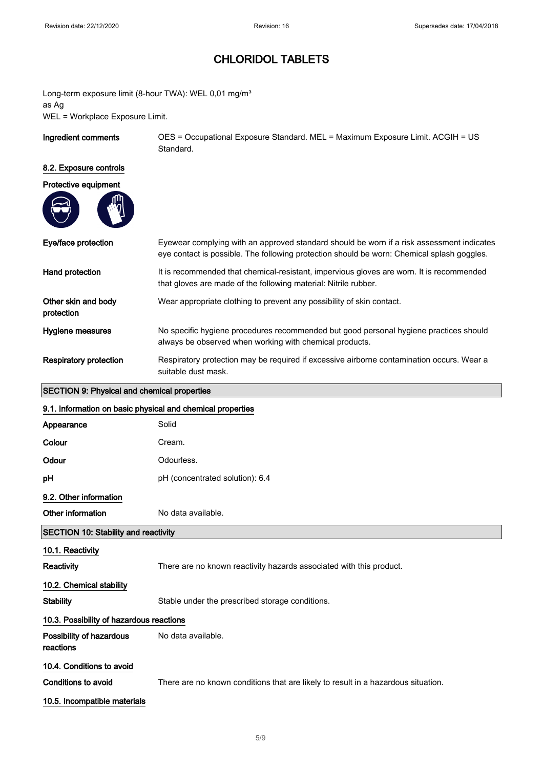Long-term exposure limit (8-hour TWA): WEL 0,01 mg/m<sup>3</sup> as Ag WEL = Workplace Exposure Limit.

Ingredient comments OES = Occupational Exposure Standard. MEL = Maximum Exposure Limit. ACGIH = US Standard.

#### 8.2. Exposure controls

| Protective equipment |  |
|----------------------|--|
|                      |  |

| Eye/face protection               | Eyewear complying with an approved standard should be worn if a risk assessment indicates<br>eye contact is possible. The following protection should be worn: Chemical splash goggles. |
|-----------------------------------|-----------------------------------------------------------------------------------------------------------------------------------------------------------------------------------------|
| Hand protection                   | It is recommended that chemical-resistant, impervious gloves are worn. It is recommended<br>that gloves are made of the following material: Nitrile rubber.                             |
| Other skin and body<br>protection | Wear appropriate clothing to prevent any possibility of skin contact.                                                                                                                   |
| Hygiene measures                  | No specific hygiene procedures recommended but good personal hygiene practices should<br>always be observed when working with chemical products.                                        |
| Respiratory protection            | Respiratory protection may be required if excessive airborne contamination occurs. Wear a<br>suitable dust mask.                                                                        |

### SECTION 9: Physical and chemical properties

 $\overline{\phantom{a}}$ 

| 9.1. Information on basic physical and chemical properties |                                                                                   |  |
|------------------------------------------------------------|-----------------------------------------------------------------------------------|--|
| Appearance                                                 | Solid                                                                             |  |
| Colour                                                     | Cream.                                                                            |  |
| Odour                                                      | Odourless.                                                                        |  |
| рH                                                         | pH (concentrated solution): 6.4                                                   |  |
| 9.2. Other information                                     |                                                                                   |  |
| Other information                                          | No data available.                                                                |  |
| <b>SECTION 10: Stability and reactivity</b>                |                                                                                   |  |
| 10.1. Reactivity                                           |                                                                                   |  |
| Reactivity                                                 | There are no known reactivity hazards associated with this product.               |  |
| 10.2. Chemical stability                                   |                                                                                   |  |
| <b>Stability</b>                                           | Stable under the prescribed storage conditions.                                   |  |
| 10.3. Possibility of hazardous reactions                   |                                                                                   |  |
| Possibility of hazardous<br>reactions                      | No data available.                                                                |  |
| 10.4. Conditions to avoid                                  |                                                                                   |  |
| Conditions to avoid                                        | There are no known conditions that are likely to result in a hazardous situation. |  |
| 10.5. Incompatible materials                               |                                                                                   |  |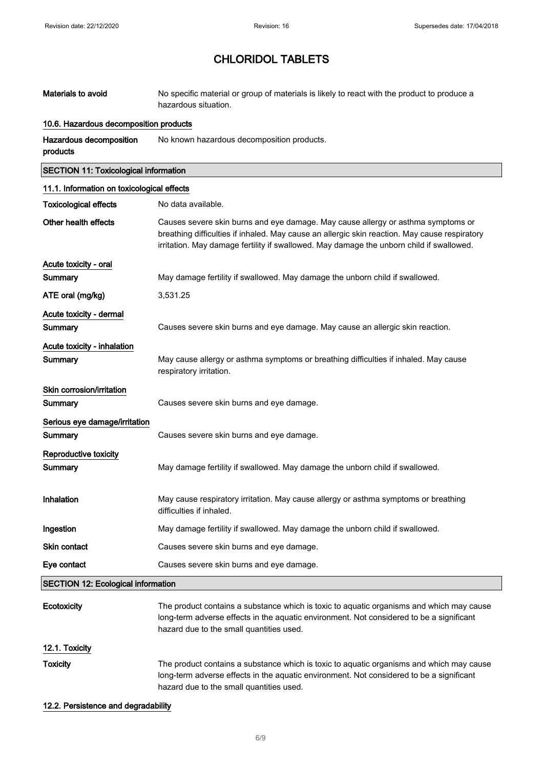| Materials to avoid                           | No specific material or group of materials is likely to react with the product to produce a<br>hazardous situation.                                                                                                                                                           |  |
|----------------------------------------------|-------------------------------------------------------------------------------------------------------------------------------------------------------------------------------------------------------------------------------------------------------------------------------|--|
| 10.6. Hazardous decomposition products       |                                                                                                                                                                                                                                                                               |  |
| Hazardous decomposition<br>products          | No known hazardous decomposition products.                                                                                                                                                                                                                                    |  |
| <b>SECTION 11: Toxicological information</b> |                                                                                                                                                                                                                                                                               |  |
| 11.1. Information on toxicological effects   |                                                                                                                                                                                                                                                                               |  |
| <b>Toxicological effects</b>                 | No data available.                                                                                                                                                                                                                                                            |  |
| Other health effects                         | Causes severe skin burns and eye damage. May cause allergy or asthma symptoms or<br>breathing difficulties if inhaled. May cause an allergic skin reaction. May cause respiratory<br>irritation. May damage fertility if swallowed. May damage the unborn child if swallowed. |  |
| Acute toxicity - oral                        |                                                                                                                                                                                                                                                                               |  |
| Summary                                      | May damage fertility if swallowed. May damage the unborn child if swallowed.                                                                                                                                                                                                  |  |
| ATE oral (mg/kg)                             | 3,531.25                                                                                                                                                                                                                                                                      |  |
| Acute toxicity - dermal                      |                                                                                                                                                                                                                                                                               |  |
| Summary                                      | Causes severe skin burns and eye damage. May cause an allergic skin reaction.                                                                                                                                                                                                 |  |
| Acute toxicity - inhalation                  |                                                                                                                                                                                                                                                                               |  |
| <b>Summary</b>                               | May cause allergy or asthma symptoms or breathing difficulties if inhaled. May cause<br>respiratory irritation.                                                                                                                                                               |  |
| Skin corrosion/irritation                    |                                                                                                                                                                                                                                                                               |  |
| <b>Summary</b>                               | Causes severe skin burns and eye damage.                                                                                                                                                                                                                                      |  |
| Serious eye damage/irritation<br>Summary     | Causes severe skin burns and eye damage.                                                                                                                                                                                                                                      |  |
| Reproductive toxicity<br>Summary             | May damage fertility if swallowed. May damage the unborn child if swallowed.                                                                                                                                                                                                  |  |
| Inhalation                                   | May cause respiratory irritation. May cause allergy or asthma symptoms or breathing<br>difficulties if inhaled.                                                                                                                                                               |  |
| Ingestion                                    | May damage fertility if swallowed. May damage the unborn child if swallowed.                                                                                                                                                                                                  |  |
| Skin contact                                 | Causes severe skin burns and eye damage.                                                                                                                                                                                                                                      |  |
| Eye contact                                  | Causes severe skin burns and eye damage.                                                                                                                                                                                                                                      |  |
| <b>SECTION 12: Ecological information</b>    |                                                                                                                                                                                                                                                                               |  |
| Ecotoxicity                                  | The product contains a substance which is toxic to aquatic organisms and which may cause<br>long-term adverse effects in the aquatic environment. Not considered to be a significant<br>hazard due to the small quantities used.                                              |  |
| 12.1. Toxicity                               |                                                                                                                                                                                                                                                                               |  |
| <b>Toxicity</b>                              | The product contains a substance which is toxic to aquatic organisms and which may cause<br>long-term adverse effects in the aquatic environment. Not considered to be a significant<br>hazard due to the small quantities used.                                              |  |
|                                              |                                                                                                                                                                                                                                                                               |  |

#### 12.2. Persistence and degradability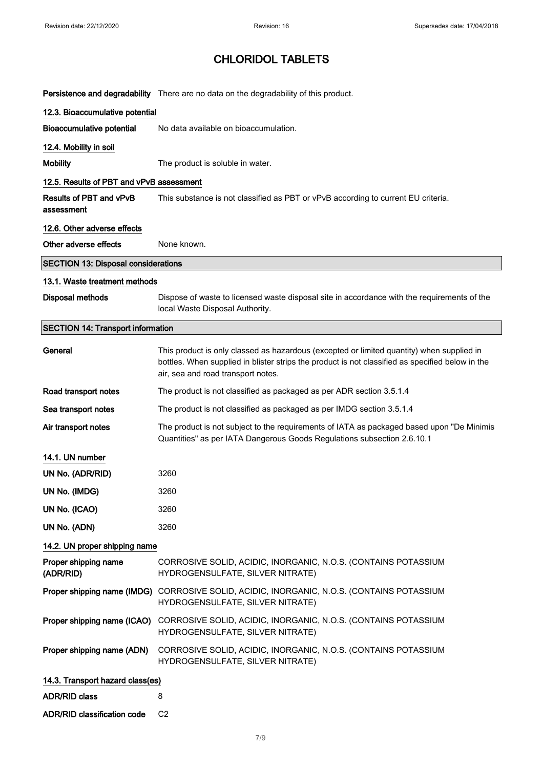|                                            | Persistence and degradability There are no data on the degradability of this product.                                                                                                                                               |
|--------------------------------------------|-------------------------------------------------------------------------------------------------------------------------------------------------------------------------------------------------------------------------------------|
| 12.3. Bioaccumulative potential            |                                                                                                                                                                                                                                     |
| <b>Bioaccumulative potential</b>           | No data available on bioaccumulation.                                                                                                                                                                                               |
| 12.4. Mobility in soil                     |                                                                                                                                                                                                                                     |
| <b>Mobility</b>                            | The product is soluble in water.                                                                                                                                                                                                    |
| 12.5. Results of PBT and vPvB assessment   |                                                                                                                                                                                                                                     |
| Results of PBT and vPvB<br>assessment      | This substance is not classified as PBT or vPvB according to current EU criteria.                                                                                                                                                   |
| 12.6. Other adverse effects                |                                                                                                                                                                                                                                     |
| Other adverse effects                      | None known.                                                                                                                                                                                                                         |
| <b>SECTION 13: Disposal considerations</b> |                                                                                                                                                                                                                                     |
| 13.1. Waste treatment methods              |                                                                                                                                                                                                                                     |
| <b>Disposal methods</b>                    | Dispose of waste to licensed waste disposal site in accordance with the requirements of the<br>local Waste Disposal Authority.                                                                                                      |
| <b>SECTION 14: Transport information</b>   |                                                                                                                                                                                                                                     |
| General                                    | This product is only classed as hazardous (excepted or limited quantity) when supplied in<br>bottles. When supplied in blister strips the product is not classified as specified below in the<br>air, sea and road transport notes. |
| Road transport notes                       | The product is not classified as packaged as per ADR section 3.5.1.4                                                                                                                                                                |
| Sea transport notes                        | The product is not classified as packaged as per IMDG section 3.5.1.4                                                                                                                                                               |
| Air transport notes                        | The product is not subject to the requirements of IATA as packaged based upon "De Minimis<br>Quantities" as per IATA Dangerous Goods Regulations subsection 2.6.10.1                                                                |
| 14.1. UN number                            |                                                                                                                                                                                                                                     |
| UN No. (ADR/RID)                           | 3260                                                                                                                                                                                                                                |
| UN No. (IMDG)                              | 3260                                                                                                                                                                                                                                |
| UN No. (ICAO)                              | 3260                                                                                                                                                                                                                                |
| UN No. (ADN)                               | 3260                                                                                                                                                                                                                                |
| 14.2. UN proper shipping name              |                                                                                                                                                                                                                                     |
| Proper shipping name<br>(ADR/RID)          | CORROSIVE SOLID, ACIDIC, INORGANIC, N.O.S. (CONTAINS POTASSIUM<br>HYDROGENSULFATE, SILVER NITRATE)                                                                                                                                  |
|                                            | Proper shipping name (IMDG) CORROSIVE SOLID, ACIDIC, INORGANIC, N.O.S. (CONTAINS POTASSIUM<br>HYDROGENSULFATE, SILVER NITRATE)                                                                                                      |
| Proper shipping name (ICAO)                | CORROSIVE SOLID, ACIDIC, INORGANIC, N.O.S. (CONTAINS POTASSIUM<br>HYDROGENSULFATE, SILVER NITRATE)                                                                                                                                  |
| Proper shipping name (ADN)                 | CORROSIVE SOLID, ACIDIC, INORGANIC, N.O.S. (CONTAINS POTASSIUM<br>HYDROGENSULFATE, SILVER NITRATE)                                                                                                                                  |
| 14.3. Transport hazard class(es)           |                                                                                                                                                                                                                                     |
| <b>ADR/RID class</b>                       | 8                                                                                                                                                                                                                                   |
| ADR/RID classification code                | C <sub>2</sub>                                                                                                                                                                                                                      |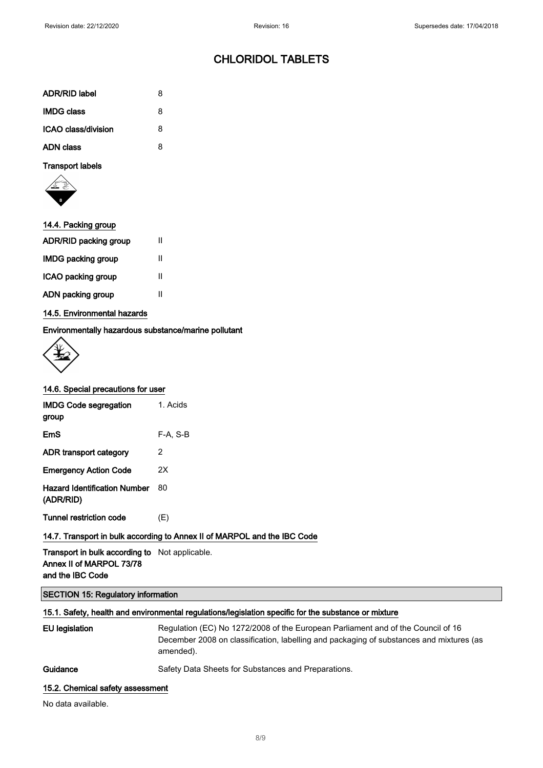| <b>ADR/RID label</b> | 8 |
|----------------------|---|
| <b>IMDG class</b>    | 8 |
| ICAO class/division  | 8 |
| <b>ADN class</b>     | 8 |

#### Transport labels



| 14.4. Packing group   |   |
|-----------------------|---|
| ADR/RID packing group | Ш |
| IMDG packing group    | н |

| ICAO packing group |  |
|--------------------|--|
| ADN packing group  |  |

### 14.5. Environmental hazards

### Environmentally hazardous substance/marine pollutant



#### 14.6. Special precautions for user

| <b>IMDG Code segregation</b><br>group            | 1. Acids |
|--------------------------------------------------|----------|
| EmS                                              | F-A. S-B |
| ADR transport category                           | 2        |
| <b>Emergency Action Code</b>                     | 2X       |
| <b>Hazard Identification Number</b><br>(ADR/RID) | 80       |
| Tunnel restriction code                          | (E)      |
|                                                  | <br>.    |

### 14.7. Transport in bulk according to Annex II of MARPOL and the IBC Code

Transport in bulk according to Not applicable. Annex II of MARPOL 73/78 and the IBC Code

### SECTION 15: Regulatory information

### 15.1. Safety, health and environmental regulations/legislation specific for the substance or mixture

| EU legislation                   | Regulation (EC) No 1272/2008 of the European Parliament and of the Council of 16<br>December 2008 on classification, labelling and packaging of substances and mixtures (as<br>amended). |
|----------------------------------|------------------------------------------------------------------------------------------------------------------------------------------------------------------------------------------|
| Guidance                         | Safety Data Sheets for Substances and Preparations.                                                                                                                                      |
| 15.2. Chemical safety assessment |                                                                                                                                                                                          |

No data available.